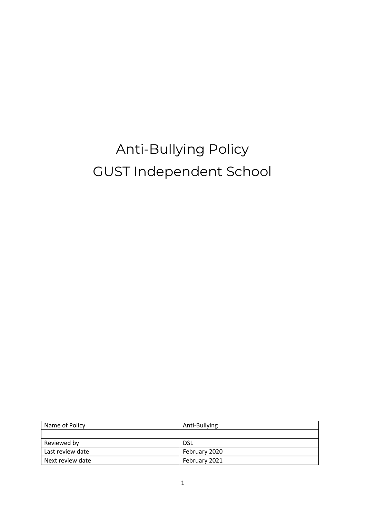# Anti-Bullying Policy GUST Independent School

| Name of Policy   | Anti-Bullying |
|------------------|---------------|
|                  |               |
| Reviewed by      | DSL           |
| Last review date | February 2020 |
| Next review date | February 2021 |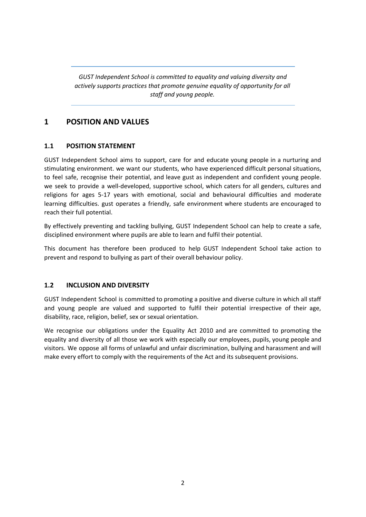*GUST Independent School is committed to equality and valuing diversity and actively supports practices that promote genuine equality of opportunity for all staff and young people.*

# **1 POSITION AND VALUES**

# **1.1 POSITION STATEMENT**

GUST Independent School aims to support, care for and educate young people in a nurturing and stimulating environment. we want our students, who have experienced difficult personal situations, to feel safe, recognise their potential, and leave gust as independent and confident young people. we seek to provide a well-developed, supportive school, which caters for all genders, cultures and religions for ages 5-17 years with emotional, social and behavioural difficulties and moderate learning difficulties. gust operates a friendly, safe environment where students are encouraged to reach their full potential.

By effectively preventing and tackling bullying, GUST Independent School can help to create a safe, disciplined environment where pupils are able to learn and fulfil their potential.

This document has therefore been produced to help GUST Independent School take action to prevent and respond to bullying as part of their overall behaviour policy.

## **1.2 INCLUSION AND DIVERSITY**

GUST Independent School is committed to promoting a positive and diverse culture in which all staff and young people are valued and supported to fulfil their potential irrespective of their age, disability, race, religion, belief, sex or sexual orientation.

We recognise our obligations under the Equality Act 2010 and are committed to promoting the equality and diversity of all those we work with especially our employees, pupils, young people and visitors. We oppose all forms of unlawful and unfair discrimination, bullying and harassment and will make every effort to comply with the requirements of the Act and its subsequent provisions.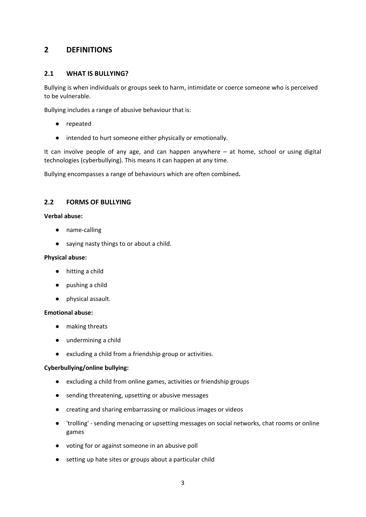# **2 DEFINITIONS**

### **2.1 WHAT IS BULLYING?**

Bullying is when individuals or groups seek to harm, intimidate or coerce someone who is perceived to be vulnerable.

Bullying includes a range of abusive behaviour that is:

- repeated
- intended to hurt someone either physically or emotionally.

It can involve people of any age, and can happen anywhere – at home, school or using digital technologies (cyberbullying). This means it can happen at any time.

Bullying encompasses a range of behaviours which are often combined**.**

#### **2.2 FORMS OF BULLYING**

#### **Verbal abuse:**

- name-calling
- saying nasty things to or about a child.

#### **Physical abuse:**

- hitting a child
- pushing a child
- physical assault.

#### **Emotional abuse:**

- making threats
- undermining a child
- excluding a child from a friendship group or activities.

#### **Cyberbullying/online bullying:**

- excluding a child from online games, activities or friendship groups
- sending threatening, upsetting or abusive messages
- creating and sharing embarrassing or malicious images or videos
- 'trolling' sending menacing or upsetting messages on social networks, chat rooms or online games
- voting for or against someone in an abusive poll
- setting up hate sites or groups about a particular child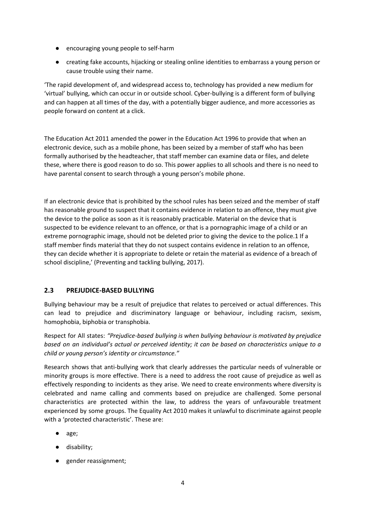- encouraging young people to self-harm
- creating fake accounts, hijacking or stealing online identities to embarrass a young person or cause trouble using their name.

'The rapid development of, and widespread access to, technology has provided a new medium for 'virtual' bullying, which can occur in or outside school. Cyber-bullying is a different form of bullying and can happen at all times of the day, with a potentially bigger audience, and more accessories as people forward on content at a click.

The Education Act 2011 amended the power in the Education Act 1996 to provide that when an electronic device, such as a mobile phone, has been seized by a member of staff who has been formally authorised by the headteacher, that staff member can examine data or files, and delete these, where there is good reason to do so. This power applies to all schools and there is no need to have parental consent to search through a young person's mobile phone.

If an electronic device that is prohibited by the school rules has been seized and the member of staff has reasonable ground to suspect that it contains evidence in relation to an offence, they must give the device to the police as soon as it is reasonably practicable. Material on the device that is suspected to be evidence relevant to an offence, or that is a pornographic image of a child or an extreme pornographic image, should not be deleted prior to giving the device to the police.1 If a staff member finds material that they do not suspect contains evidence in relation to an offence, they can decide whether it is appropriate to delete or retain the material as evidence of a breach of school discipline,' (Preventing and tackling bullying, 2017).

# **2.3 PREJUDICE-BASED BULLYING**

Bullying behaviour may be a result of prejudice that relates to perceived or actual differences. This can lead to prejudice and discriminatory language or behaviour, including racism, sexism, homophobia, biphobia or transphobia.

Respect for All states: *"Prejudice-based bullying is when bullying behaviour is motivated by prejudice based on an individual's actual or perceived identity; it can be based on characteristics unique to a child or young person's identity or circumstance."*

Research shows that anti-bullying work that clearly addresses the particular needs of vulnerable or minority groups is more effective. There is a need to address the root cause of prejudice as well as effectively responding to incidents as they arise. We need to create environments where diversity is celebrated and name calling and comments based on prejudice are challenged. Some personal characteristics are protected within the law, to address the years of unfavourable treatment experienced by some groups. The Equality Act 2010 makes it unlawful to discriminate against people with a 'protected characteristic'. These are:

- age;
- disability;
- gender reassignment;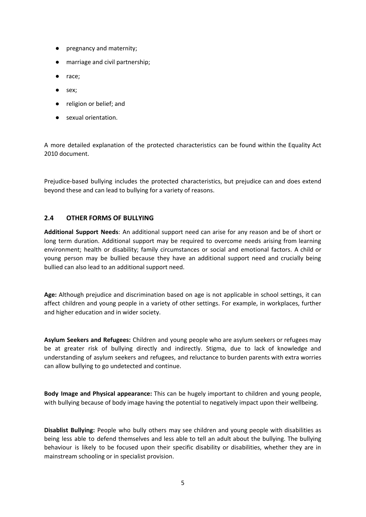- pregnancy and maternity;
- marriage and civil partnership;
- race;
- sex;
- religion or belief; and
- sexual orientation.

A more detailed explanation of the protected characteristics can be found within the Equality Act 2010 document.

Prejudice-based bullying includes the protected characteristics, but prejudice can and does extend beyond these and can lead to bullying for a variety of reasons.

#### **2.4 OTHER FORMS OF BULLYING**

**Additional Support Needs**: An additional support need can arise for any reason and be of short or long term duration. Additional support may be required to overcome needs arising from learning environment; health or disability; family circumstances or social and emotional factors. A child or young person may be bullied because they have an additional support need and crucially being bullied can also lead to an additional support need.

**Age:** Although prejudice and discrimination based on age is not applicable in school settings, it can affect children and young people in a variety of other settings. For example, in workplaces, further and higher education and in wider society.

**Asylum Seekers and Refugees:** Children and young people who are asylum seekers or refugees may be at greater risk of bullying directly and indirectly. Stigma, due to lack of knowledge and understanding of asylum seekers and refugees, and reluctance to burden parents with extra worries can allow bullying to go undetected and continue.

**Body Image and Physical appearance:** This can be hugely important to children and young people, with bullying because of body image having the potential to negatively impact upon their wellbeing.

**Disablist Bullying:** People who bully others may see children and young people with disabilities as being less able to defend themselves and less able to tell an adult about the bullying. The bullying behaviour is likely to be focused upon their specific disability or disabilities, whether they are in mainstream schooling or in specialist provision.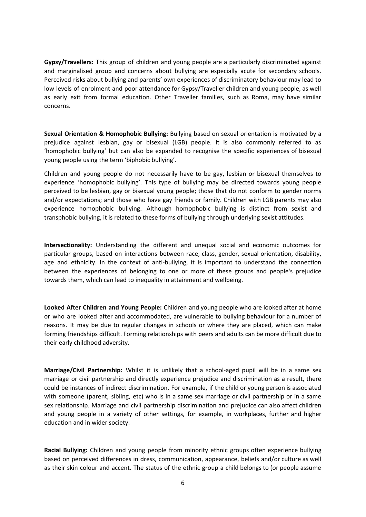**Gypsy/Travellers:** This group of children and young people are a particularly discriminated against and marginalised group and concerns about bullying are especially acute for secondary schools. Perceived risks about bullying and parents' own experiences of discriminatory behaviour may lead to low levels of enrolment and poor attendance for Gypsy/Traveller children and young people, as well as early exit from formal education. Other Traveller families, such as Roma, may have similar concerns.

**Sexual Orientation & Homophobic Bullying:** Bullying based on sexual orientation is motivated by a prejudice against lesbian, gay or bisexual (LGB) people. It is also commonly referred to as 'homophobic bullying' but can also be expanded to recognise the specific experiences of bisexual young people using the term 'biphobic bullying'.

Children and young people do not necessarily have to be gay, lesbian or bisexual themselves to experience 'homophobic bullying'. This type of bullying may be directed towards young people perceived to be lesbian, gay or bisexual young people; those that do not conform to gender norms and/or expectations; and those who have gay friends or family. Children with LGB parents may also experience homophobic bullying. Although homophobic bullying is distinct from sexist and transphobic bullying, it is related to these forms of bullying through underlying sexist attitudes.

**Intersectionality:** Understanding the different and unequal social and economic outcomes for particular groups, based on interactions between race, class, gender, sexual orientation, disability, age and ethnicity. In the context of anti-bullying, it is important to understand the connection between the experiences of belonging to one or more of these groups and people's prejudice towards them, which can lead to inequality in attainment and wellbeing.

**Looked After Children and Young People:** Children and young people who are looked after at home or who are looked after and accommodated, are vulnerable to bullying behaviour for a number of reasons. It may be due to regular changes in schools or where they are placed, which can make forming friendships difficult. Forming relationships with peers and adults can be more difficult due to their early childhood adversity.

**Marriage/Civil Partnership:** Whilst it is unlikely that a school-aged pupil will be in a same sex marriage or civil partnership and directly experience prejudice and discrimination as a result, there could be instances of indirect discrimination. For example, if the child or young person is associated with someone (parent, sibling, etc) who is in a same sex marriage or civil partnership or in a same sex relationship. Marriage and civil partnership discrimination and prejudice can also affect children and young people in a variety of other settings, for example, in workplaces, further and higher education and in wider society.

**Racial Bullying:** Children and young people from minority ethnic groups often experience bullying based on perceived differences in dress, communication, appearance, beliefs and/or culture as well as their skin colour and accent. The status of the ethnic group a child belongs to (or people assume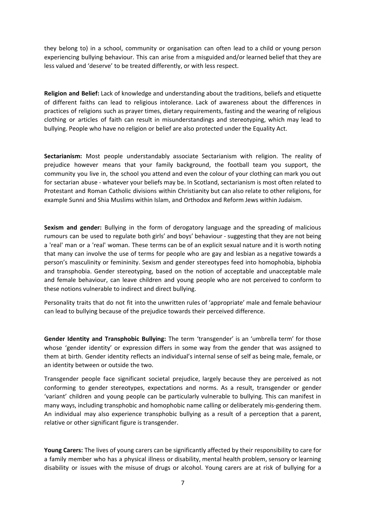they belong to) in a school, community or organisation can often lead to a child or young person experiencing bullying behaviour. This can arise from a misguided and/or learned belief that they are less valued and 'deserve' to be treated differently, or with less respect.

**Religion and Belief:** Lack of knowledge and understanding about the traditions, beliefs and etiquette of different faiths can lead to religious intolerance. Lack of awareness about the differences in practices of religions such as prayer times, dietary requirements, fasting and the wearing of religious clothing or articles of faith can result in misunderstandings and stereotyping, which may lead to bullying. People who have no religion or belief are also protected under the Equality Act.

**Sectarianism:** Most people understandably associate Sectarianism with religion. The reality of prejudice however means that your family background, the football team you support, the community you live in, the school you attend and even the colour of your clothing can mark you out for sectarian abuse - whatever your beliefs may be. In Scotland, sectarianism is most often related to Protestant and Roman Catholic divisions within Christianity but can also relate to other religions, for example Sunni and Shia Muslims within Islam, and Orthodox and Reform Jews within Judaism.

**Sexism and gender:** Bullying in the form of derogatory language and the spreading of malicious rumours can be used to regulate both girls' and boys' behaviour - suggesting that they are not being a 'real' man or a 'real' woman. These terms can be of an explicit sexual nature and it is worth noting that many can involve the use of terms for people who are gay and lesbian as a negative towards a person's masculinity or femininity. Sexism and gender stereotypes feed into homophobia, biphobia and transphobia. Gender stereotyping, based on the notion of acceptable and unacceptable male and female behaviour, can leave children and young people who are not perceived to conform to these notions vulnerable to indirect and direct bullying.

Personality traits that do not fit into the unwritten rules of 'appropriate' male and female behaviour can lead to bullying because of the prejudice towards their perceived difference.

**Gender Identity and Transphobic Bullying:** The term 'transgender' is an 'umbrella term' for those whose 'gender identity' or expression differs in some way from the gender that was assigned to them at birth. Gender identity reflects an individual's internal sense of self as being male, female, or an identity between or outside the two.

Transgender people face significant societal prejudice, largely because they are perceived as not conforming to gender stereotypes, expectations and norms. As a result, transgender or gender 'variant' children and young people can be particularly vulnerable to bullying. This can manifest in many ways, including transphobic and homophobic name calling or deliberately mis-gendering them. An individual may also experience transphobic bullying as a result of a perception that a parent, relative or other significant figure is transgender.

**Young Carers:** The lives of young carers can be significantly affected by their responsibility to care for a family member who has a physical illness or disability, mental health problem, sensory or learning disability or issues with the misuse of drugs or alcohol. Young carers are at risk of bullying for a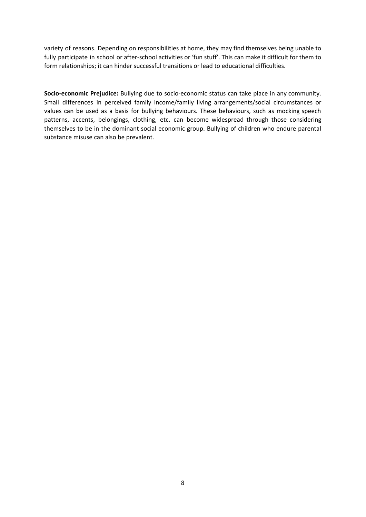variety of reasons. Depending on responsibilities at home, they may find themselves being unable to fully participate in school or after-school activities or 'fun stuff'. This can make it difficult for them to form relationships; it can hinder successful transitions or lead to educational difficulties.

**Socio-economic Prejudice:** Bullying due to socio-economic status can take place in any community. Small differences in perceived family income/family living arrangements/social circumstances or values can be used as a basis for bullying behaviours. These behaviours, such as mocking speech patterns, accents, belongings, clothing, etc. can become widespread through those considering themselves to be in the dominant social economic group. Bullying of children who endure parental substance misuse can also be prevalent.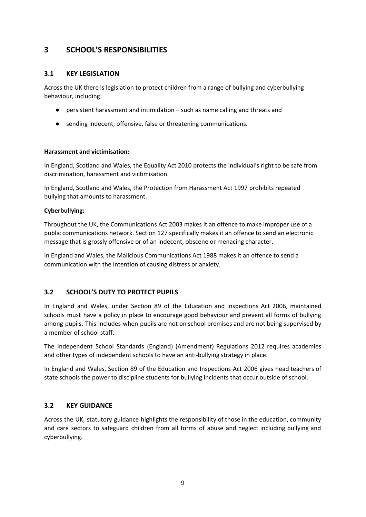# **3 SCHOOL'S RESPONSIBILITIES**

# **3.1 KEY LEGISLATION**

Across the UK there is legislation to protect children from a range of bullying and cyberbullying behaviour, including:

- persistent harassment and intimidation such as name calling and threats and
- sending indecent, offensive, false or threatening communications.

#### **Harassment and victimisation:**

In England, Scotland and Wales, the Equality Act 2010 protects the individual's right to be safe from discrimination, harassment and victimisation.

In England, Scotland and Wales, the Protection from Harassment Act 1997 prohibits repeated bullying that amounts to harassment.

## **Cyberbullying:**

Throughout the UK, the Communications Act 2003 makes it an offence to make improper use of a public communications network. Section 127 specifically makes it an offence to send an electronic message that is grossly offensive or of an indecent, obscene or menacing character.

In England and Wales, the Malicious Communications Act 1988 makes it an offence to send a communication with the intention of causing distress or anxiety.

# **3.2 SCHOOL'S DUTY TO PROTECT PUPILS**

In England and Wales, under Section 89 of the Education and Inspections Act 2006, maintained schools must have a policy in place to encourage good behaviour and prevent all forms of bullying among pupils. This includes when pupils are not on school premises and are not being supervised by a member of school staff.

The Independent School Standards (England) (Amendment) Regulations 2012 requires academies and other types of independent schools to have an anti-bullying strategy in place.

In England and Wales, Section 89 of the Education and Inspections Act 2006 gives head teachers of state schools the power to discipline students for bullying incidents that occur outside of school.

## **3.2 KEY GUIDANCE**

Across the UK, statutory guidance highlights the responsibility of those in the education, community and care sectors to safeguard children from all forms of abuse and neglect including bullying and cyberbullying.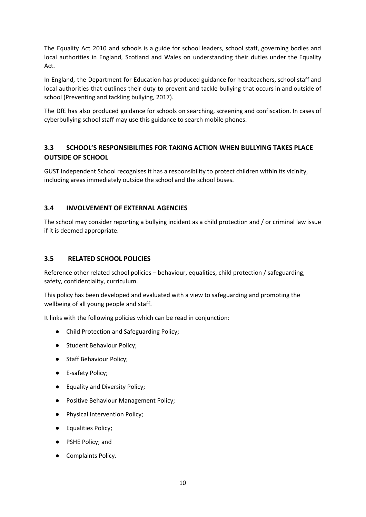The Equality Act 2010 and schools is a guide for school leaders, school staff, governing bodies and local authorities in England, Scotland and Wales on understanding their duties under the Equality Act.

In England, the Department for Education has produced guidance for headteachers, school staff and local authorities that outlines their duty to prevent and tackle bullying that occurs in and outside of school (Preventing and tackling bullying, 2017).

The DfE has also produced guidance for schools on searching, screening and confiscation. In cases of cyberbullying school staff may use this guidance to search mobile phones.

# **3.3 SCHOOL'S RESPONSIBILITIES FOR TAKING ACTION WHEN BULLYING TAKES PLACE OUTSIDE OF SCHOOL**

GUST Independent School recognises it has a responsibility to protect children within its vicinity, including areas immediately outside the school and the school buses.

# **3.4 INVOLVEMENT OF EXTERNAL AGENCIES**

The school may consider reporting a bullying incident as a child protection and / or criminal law issue if it is deemed appropriate.

# **3.5 RELATED SCHOOL POLICIES**

Reference other related school policies – behaviour, equalities, child protection / safeguarding, safety, confidentiality, curriculum.

This policy has been developed and evaluated with a view to safeguarding and promoting the wellbeing of all young people and staff.

It links with the following policies which can be read in conjunction:

- Child Protection and Safeguarding Policy;
- Student Behaviour Policy;
- Staff Behaviour Policy;
- E-safety Policy;
- Equality and Diversity Policy;
- Positive Behaviour Management Policy;
- Physical Intervention Policy;
- Equalities Policy;
- PSHE Policy; and
- Complaints Policy.